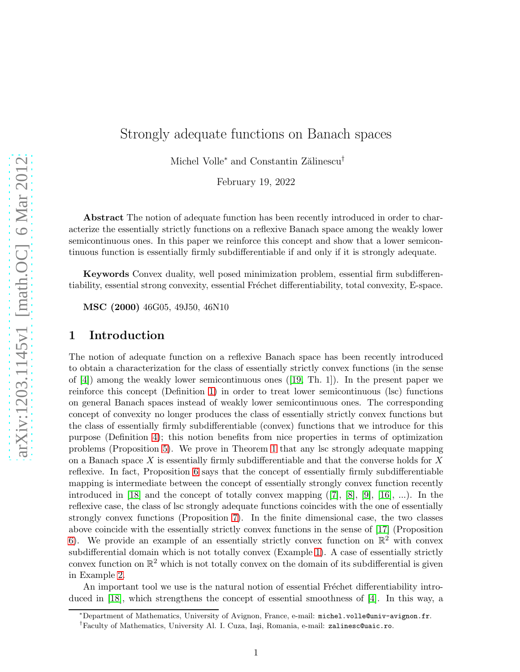# Strongly adequate functions on Banach spaces

Michel Volle<sup>∗</sup> and Constantin Zălinescu<sup>†</sup>

February 19, 2022

Abstract The notion of adequate function has been recently introduced in order to characterize the essentially strictly functions on a reflexive Banach space among the weakly lower semicontinuous ones. In this paper we reinforce this concept and show that a lower semicontinuous function is essentially firmly subdifferentiable if and only if it is strongly adequate.

Keywords Convex duality, well posed minimization problem, essential firm subdifferentiability, essential strong convexity, essential Fréchet differentiability, total convexity, E-space.

MSC (2000) 46G05, 49J50, 46N10

## 1 Introduction

The notion of adequate function on a reflexive Banach space has been recently introduced to obtain a characterization for the class of essentially strictly convex functions (in the sense of $[4]$ ) among the weakly lower semicontinuous ones  $([19, Th. 1])$  $([19, Th. 1])$  $([19, Th. 1])$ . In the present paper we reinforce this concept (Definition [1\)](#page-2-0) in order to treat lower semicontinuous (lsc) functions on general Banach spaces instead of weakly lower semicontinuous ones. The corresponding concept of convexity no longer produces the class of essentially strictly convex functions but the class of essentially firmly subdifferentiable (convex) functions that we introduce for this purpose (Definition [4\)](#page-4-0); this notion benefits from nice properties in terms of optimization problems (Proposition [5\)](#page-5-0). We prove in Theorem [1](#page-5-1) that any lsc strongly adequate mapping on a Banach space X is essentially firmly subdifferentiable and that the converse holds for  $X$ reflexive. In fact, Proposition [6](#page-5-2) says that the concept of essentially firmly subdifferentiable mapping is intermediate between the concept of essentially strongly convex function recently introduced in [\[18\]](#page-11-1) and the concept of totally convex mapping  $([7], [8], [9], [16], \ldots)$  $([7], [8], [9], [16], \ldots)$  $([7], [8], [9], [16], \ldots)$  $([7], [8], [9], [16], \ldots)$  $([7], [8], [9], [16], \ldots)$  $([7], [8], [9], [16], \ldots)$  $([7], [8], [9], [16], \ldots)$  $([7], [8], [9], [16], \ldots)$  $([7], [8], [9], [16], \ldots)$ . In the reflexive case, the class of lsc strongly adequate functions coincides with the one of essentially strongly convex functions (Proposition [7\)](#page-7-0). In the finite dimensional case, the two classes above coincide with the essentially strictly convex functions in the sense of [\[17\]](#page-11-4) (Proposition [6\)](#page-5-2). We provide an example of an essentially strictly convex function on  $\mathbb{R}^2$  with convex subdifferential domain which is not totally convex (Example [1\)](#page-4-1). A case of essentially strictly convex function on  $\mathbb{R}^2$  which is not totally convex on the domain of its subdifferential is given in Example [2.](#page-6-0)

An important tool we use is the natural notion of essential Fréchet differentiability introduced in [\[18\]](#page-11-1), which strengthens the concept of essential smoothness of [\[4\]](#page-10-0). In this way, a

<sup>∗</sup>Department of Mathematics, University of Avignon, France, e-mail: michel.volle@univ-avignon.fr. <sup>†</sup>Faculty of Mathematics, University Al. I. Cuza, Iași, Romania, e-mail: zalinesc@uaic.ro.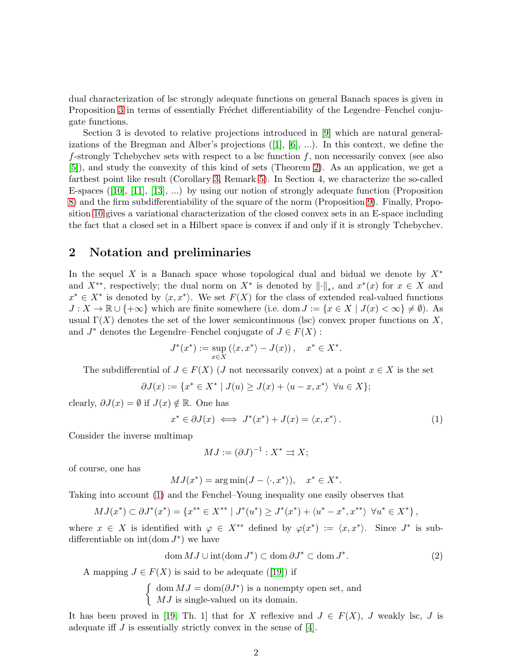dual characterization of lsc strongly adequate functions on general Banach spaces is given in Proposition [3](#page-3-0) in terms of essentially Fréchet differentiability of the Legendre–Fenchel conjugate functions.

Section 3 is devoted to relative projections introduced in [\[9\]](#page-11-2) which are natural generalizationsof the Bregman and Alber's projections  $([1], [6], ...)$  $([1], [6], ...)$  $([1], [6], ...)$  $([1], [6], ...)$  $([1], [6], ...)$ . In this context, we define the f-strongly Tchebychev sets with respect to a lsc function  $f$ , non necessarily convex (see also [\[5\]](#page-10-5)), and study the convexity of this kind of sets (Theorem [2\)](#page-8-0). As an application, we get a farthest point like result (Corollary [3,](#page-8-1) Remark [5\)](#page-8-2). In Section 4, we characterize the so-called E-spaces([\[10\]](#page-11-5), [\[11\]](#page-11-6), [\[13\]](#page-11-7), ...) by using our notion of strongly adequate function (Proposition [8\)](#page-9-0) and the firm subdifferentiability of the square of the norm (Proposition [9\)](#page-9-1). Finally, Proposition [10](#page-10-6) gives a variational characterization of the closed convex sets in an E-space including the fact that a closed set in a Hilbert space is convex if and only if it is strongly Tchebychev.

## 2 Notation and preliminaries

In the sequel X is a Banach space whose topological dual and bidual we denote by  $X^*$ and  $X^{**}$ , respectively; the dual norm on  $X^*$  is denoted by  $\|\cdot\|_*$ , and  $x^*(x)$  for  $x \in X$  and  $x^* \in X^*$  is denoted by  $\langle x, x^* \rangle$ . We set  $F(X)$  for the class of extended real-valued functions  $J: X \to \mathbb{R} \cup \{+\infty\}$  which are finite somewhere (i.e. dom  $J := \{x \in X \mid J(x) < \infty\} \neq \emptyset$ ). As usual  $\Gamma(X)$  denotes the set of the lower semicontinuous (lsc) convex proper functions on X, and  $J^*$  denotes the Legendre–Fenchel conjugate of  $J \in F(X)$ :

$$
J^*(x^*) := \sup_{x \in X} (\langle x, x^* \rangle - J(x)), \quad x^* \in X^*.
$$

The subdifferential of  $J \in F(X)$  (J not necessarily convex) at a point  $x \in X$  is the set

$$
\partial J(x):=\{x^*\in X^*\mid J(u)\geq J(x)+\langle u-x,x^*\rangle\ \ \forall u\in X\};
$$

clearly,  $\partial J(x) = \emptyset$  if  $J(x) \notin \mathbb{R}$ . One has

<span id="page-1-0"></span>
$$
x^* \in \partial J(x) \iff J^*(x^*) + J(x) = \langle x, x^* \rangle. \tag{1}
$$

Consider the inverse multimap

$$
MJ := (\partial J)^{-1} : X^* \rightrightarrows X;
$$

of course, one has

$$
MJ(x^*) = \arg\min(J - \langle \cdot, x^* \rangle), \quad x^* \in X^*.
$$

Taking into account [\(1\)](#page-1-0) and the Fenchel–Young inequality one easily observes that

$$
MJ(x^*)\subset \partial J^*(x^*)=\left\{x^{**}\in X^{**} \mid J^*(u^*)\geq J^*(x^*)+\left\langle u^*-x^*,x^{**}\right\rangle \ \forall u^*\in X^*\right\},\
$$

where  $x \in X$  is identified with  $\varphi \in X^{**}$  defined by  $\varphi(x^*) := \langle x, x^* \rangle$ . Since  $J^*$  is subdifferentiable on  $\text{int}(\text{dom } J^*)$  we have

<span id="page-1-1"></span>
$$
\operatorname{dom} MJ \cup \operatorname{int}(\operatorname{dom} J^*) \subset \operatorname{dom} \partial J^* \subset \operatorname{dom} J^*.
$$
\n(2)

Amapping  $J \in F(X)$  is said to be adequate ([\[19\]](#page-11-0)) if

 $\int$  dom  $MJ = \text{dom}(\partial J^*)$  is a nonempty open set, and MJ is single-valued on its domain.

It has been proved in [\[19,](#page-11-0) Th. 1] that for X reflexive and  $J \in F(X)$ , J weakly lsc, J is adequate if  $J$  is essentially strictly convex in the sense of  $[4]$ .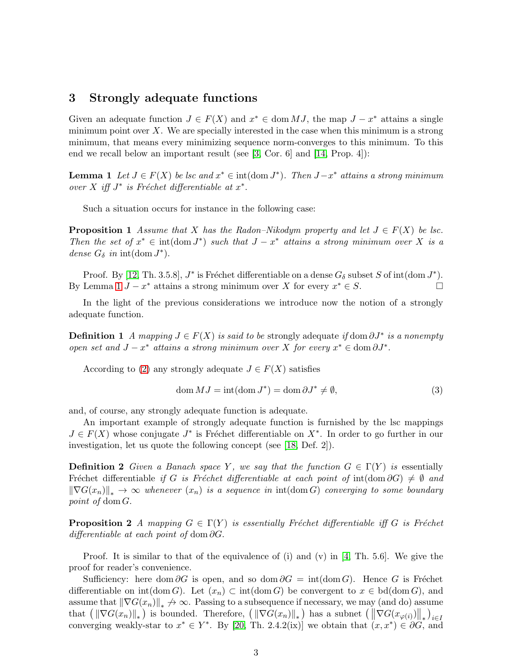## 3 Strongly adequate functions

Given an adequate function  $J \in F(X)$  and  $x^* \in \text{dom } MJ$ , the map  $J - x^*$  attains a single minimum point over  $X$ . We are specially interested in the case when this minimum is a strong minimum, that means every minimizing sequence norm-converges to this minimum. To this end we recall below an important result (see [\[3,](#page-10-7) Cor. 6] and [\[14,](#page-11-8) Prop. 4]):

<span id="page-2-1"></span>**Lemma 1** Let  $J \in F(X)$  be lsc and  $x^* \in \text{int}(\text{dom } J^*)$ . Then  $J-x^*$  attains a strong minimum over  $X$  iff  $J^*$  is Fréchet differentiable at  $x^*$ .

Such a situation occurs for instance in the following case:

**Proposition 1** Assume that X has the Radon–Nikodym property and let  $J \in F(X)$  be lsc. Then the set of  $x^* \in \text{int}(\text{dom } J^*)$  such that  $J - x^*$  attains a strong minimum over X is a dense  $G_{\delta}$  in int(dom  $J^*$ ).

Proof. By [\[12,](#page-11-9) Th. 3.5.8],  $J^*$  is Fréchet differentiable on a dense  $G_{\delta}$  subset S of int(dom  $J^*$ ). By Lemma [1](#page-2-1)  $J - x^*$  attains a strong minimum over X for every  $x^* \in S$ .

<span id="page-2-0"></span>In the light of the previous considerations we introduce now the notion of a strongly adequate function.

**Definition 1** A mapping  $J \in F(X)$  is said to be strongly adequate if dom  $\partial J^*$  is a nonempty open set and  $J - x^*$  attains a strong minimum over X for every  $x^* \in \text{dom }\partial J^*$ .

According to [\(2\)](#page-1-1) any strongly adequate  $J \in F(X)$  satisfies

<span id="page-2-2"></span>
$$
\text{dom } MJ = \text{int}(\text{dom } J^*) = \text{dom } \partial J^* \neq \emptyset,
$$
\n(3)

and, of course, any strongly adequate function is adequate.

An important example of strongly adequate function is furnished by the lsc mappings  $J \in F(X)$  whose conjugate  $J^*$  is Fréchet differentiable on  $X^*$ . In order to go further in our investigation, let us quote the following concept (see [\[18,](#page-11-1) Def. 2]).

**Definition 2** Given a Banach space Y, we say that the function  $G \in \Gamma(Y)$  is essentially Fréchet differentiable if G is Fréchet differentiable at each point of int(dom  $\partial G$ )  $\neq \emptyset$  and  $\|\nabla G(x_n)\|_{*} \to \infty$  whenever  $(x_n)$  is a sequence in int(dom G) converging to some boundary point of dom G.

**Proposition 2** A mapping  $G \in \Gamma(Y)$  is essentially Fréchet differentiable iff G is Fréchet differentiable at each point of dom  $\partial G$ .

Proof. It is similar to that of the equivalence of (i) and (v) in  $[4, Th. 5.6]$ . We give the proof for reader's convenience.

Sufficiency: here dom ∂G is open, and so dom  $\partial G = \text{int}(\text{dom } G)$ . Hence G is Fréchet differentiable on  $\text{int}(\text{dom } G)$ . Let  $(x_n) \subset \text{int}(\text{dom } G)$  be convergent to  $x \in \text{bd}(\text{dom } G)$ , and assume that  $\|\nabla G(x_n)\|_* \nrightarrow \infty$ . Passing to a subsequence if necessary, we may (and do) assume that  $\left( \left\| \nabla G(x_n) \right\|_{*} \right)$  is bounded. Therefore,  $\left( \left\| \nabla G(x_n) \right\|_{*} \right)$  has a subnet  $\left( \left\| \nabla G(x_{\varphi(i)}) \right\|_{*} \right)_{i \in I}$ converging weakly-star to  $x^* \in Y^*$ . By [\[20,](#page-11-10) Th. 2.4.2(ix)] we obtain that  $(x, x^*) \in \partial G$ , and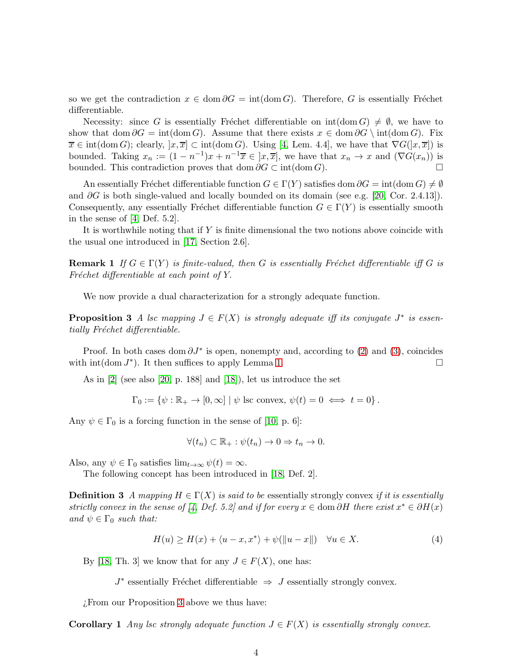so we get the contradiction  $x \in \text{dom } \partial G = \text{int}(\text{dom } G)$ . Therefore, G is essentially Fréchet differentiable.

Necessity: since G is essentially Fréchet differentiable on  $\text{int}(\text{dom }G) \neq \emptyset$ , we have to show that dom  $\partial G = \text{int}(\text{dom } G)$ . Assume that there exists  $x \in \text{dom } \partial G \setminus \text{int}(\text{dom } G)$ . Fix  $\overline{x} \in \text{int}(\text{dom }G); \text{ clearly, } |x, \overline{x}| \subset \text{int}(\text{dom }G).$  Using [\[4,](#page-10-0) Lem. 4.4], we have that  $\nabla G(|x, \overline{x}|)$  is bounded. Taking  $x_n := (1 - n^{-1})x + n^{-1}\overline{x} \in [x, \overline{x}]$ , we have that  $x_n \to x$  and  $(\nabla G(x_n))$  is bounded. This contradiction proves that dom  $\partial G \subset \text{int}(\text{dom } G)$ .

An essentially Fréchet differentiable function  $G \in \Gamma(Y)$  satisfies dom  $\partial G = \text{int}(\text{dom } G) \neq \emptyset$ and  $\partial G$  is both single-valued and locally bounded on its domain (see e.g. [\[20,](#page-11-10) Cor. 2.4.13]). Consequently, any essentially Fréchet differentiable function  $G \in \Gamma(Y)$  is essentially smooth in the sense of [\[4,](#page-10-0) Def. 5.2].

<span id="page-3-3"></span>It is worthwhile noting that if Y is finite dimensional the two notions above coincide with the usual one introduced in [\[17,](#page-11-4) Section 2.6].

**Remark 1** If  $G \in \Gamma(Y)$  is finite-valued, then G is essentially Fréchet differentiable iff G is Fréchet differentiable at each point of  $Y$ .

<span id="page-3-0"></span>We now provide a dual characterization for a strongly adequate function.

**Proposition 3** A lsc mapping  $J \in F(X)$  is strongly adequate iff its conjugate  $J^*$  is essentially Fréchet differentiable.

Proof. In both cases dom  $\partial J^*$  is open, nonempty and, according to [\(2\)](#page-1-1) and [\(3\)](#page-2-2), coincides with  $\text{int}(\text{dom } J^*)$ . It then suffices to apply Lemma [1.](#page-2-1)

As in [\[2\]](#page-10-8) (see also [\[20,](#page-11-10) p. 188] and [\[18\]](#page-11-1)), let us introduce the set

 $\Gamma_0 := \{ \psi : \mathbb{R}_+ \to [0, \infty] \mid \psi \text{ lsc convex}, \psi(t) = 0 \iff t = 0 \}.$ 

Any  $\psi \in \Gamma_0$  is a forcing function in the sense of [\[10,](#page-11-5) p. 6]:

$$
\forall (t_n) \subset \mathbb{R}_+ : \psi(t_n) \to 0 \Rightarrow t_n \to 0.
$$

<span id="page-3-4"></span>Also, any  $\psi \in \Gamma_0$  satisfies  $\lim_{t \to \infty} \psi(t) = \infty$ .

The following concept has been introduced in [\[18,](#page-11-1) Def. 2].

**Definition 3** A mapping  $H \in \Gamma(X)$  is said to be essentially strongly convex if it is essentially strictly convex in the sense of [\[4,](#page-10-0) Def. 5.2] and if for every  $x \in \text{dom } \partial H$  there exist  $x^* \in \partial H(x)$ and  $\psi \in \Gamma_0$  such that:

<span id="page-3-1"></span>
$$
H(u) \ge H(x) + \langle u - x, x^* \rangle + \psi(||u - x||) \quad \forall u \in X.
$$
\n<sup>(4)</sup>

By [\[18,](#page-11-1) Th. 3] we know that for any  $J \in F(X)$ , one has:

 $J^*$  essentially Fréchet differentiable  $\Rightarrow$  J essentially strongly convex.

<span id="page-3-2"></span>¿From our Proposition [3](#page-3-0) above we thus have:

**Corollary 1** Any lsc strongly adequate function  $J \in F(X)$  is essentially strongly convex.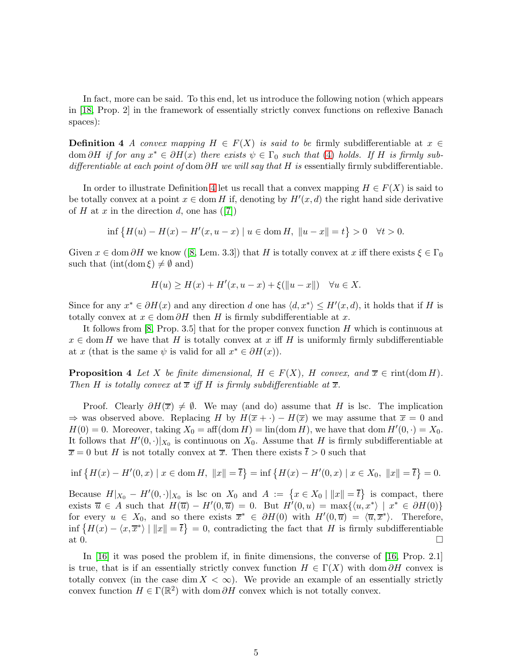<span id="page-4-0"></span>In fact, more can be said. To this end, let us introduce the following notion (which appears in [\[18,](#page-11-1) Prop. 2] in the framework of essentially strictly convex functions on reflexive Banach spaces):

**Definition 4** A convex mapping  $H \in F(X)$  is said to be firmly subdifferentiable at  $x \in$ dom ∂H if for any  $x^* \in \partial H(x)$  there exists  $\psi \in \Gamma_0$  such that [\(4\)](#page-3-1) holds. If H is firmly subdifferentiable at each point of dom  $\partial H$  we will say that H is essentially firmly subdifferentiable.

In order to illustrate Definition [4](#page-4-0) let us recall that a convex mapping  $H \in F(X)$  is said to be totally convex at a point  $x \in \text{dom } H$  if, denoting by  $H'(x,d)$  the right hand side derivative ofH at x in the direction d, one has  $([7])$  $([7])$  $([7])$ 

$$
\inf \{ H(u) - H(x) - H'(x, u - x) \mid u \in \text{dom}\, H, \ \|u - x\| = t \} > 0 \quad \forall t > 0.
$$

Given $x \in \text{dom } \partial H$  we know ([\[8,](#page-10-2) Lem. 3.3]) that H is totally convex at x iff there exists  $\xi \in \Gamma_0$ such that  $(int(\text{dom }\xi) \neq \emptyset \text{ and})$ 

$$
H(u) \ge H(x) + H'(x, u - x) + \xi(||u - x||) \quad \forall u \in X.
$$

Since for any  $x^* \in \partial H(x)$  and any direction d one has  $\langle d, x^* \rangle \leq H'(x, d)$ , it holds that if H is totally convex at  $x \in \text{dom }\partial H$  then H is firmly subdifferentiable at x.

It follows from [\[8,](#page-10-2) Prop. 3.5] that for the proper convex function  $H$  which is continuous at  $x \in \text{dom } H$  we have that H is totally convex at x iff H is uniformly firmly subdifferentiable at x (that is the same  $\psi$  is valid for all  $x^* \in \partial H(x)$ ).

**Proposition 4** Let X be finite dimensional,  $H \in F(X)$ , H convex, and  $\overline{x} \in \text{rint}(\text{dom } H)$ . Then H is totally convex at  $\overline{x}$  iff H is firmly subdifferentiable at  $\overline{x}$ .

Proof. Clearly  $\partial H(\overline{x}) \neq \emptyset$ . We may (and do) assume that H is lsc. The implication  $\Rightarrow$  was observed above. Replacing H by  $H(\overline{x} + \cdot) - H(\overline{x})$  we may assume that  $\overline{x} = 0$  and  $H(0) = 0$ . Moreover, taking  $X_0 = \text{aff}(\text{dom } H) = \text{lin}(\text{dom } H)$ , we have that  $\text{dom } H'(0, \cdot) = X_0$ . It follows that  $H'(0, \cdot)|_{X_0}$  is continuous on  $X_0$ . Assume that H is firmly subdifferentiable at  $\overline{x} = 0$  but H is not totally convex at  $\overline{x}$ . Then there exists  $\overline{t} > 0$  such that

$$
\inf\left\{H(x) - H'(0, x) \mid x \in \text{dom}\,H, \ \|x\| = \overline{t}\right\} = \inf\left\{H(x) - H'(0, x) \mid x \in X_0, \ \|x\| = \overline{t}\right\} = 0.
$$

Because  $H|_{X_0} - H'(0, \cdot)|_{X_0}$  is lsc on  $X_0$  and  $A := \{x \in X_0 \mid ||x|| = \overline{t}\}\$  is compact, there exists  $\overline{u} \in A$  such that  $H(\overline{u}) - H'(0, \overline{u}) = 0$ . But  $H'(0, u) = \max\{ \langle u, x^* \rangle \mid x^* \in \partial H(0) \}$ for every  $u \in X_0$ , and so there exists  $\overline{x}^* \in \partial H(0)$  with  $H'(0, \overline{u}) = \langle \overline{u}, \overline{x}^* \rangle$ . Therefore,  $\inf \{H(x) - \langle x, \overline{x}^* \rangle \mid ||x|| = \overline{t}\} = 0$ , contradicting the fact that H is firmly subdifferentiable at 0.

<span id="page-4-1"></span>In [\[16\]](#page-11-3) it was posed the problem if, in finite dimensions, the converse of [\[16,](#page-11-3) Prop. 2.1] is true, that is if an essentially strictly convex function  $H \in \Gamma(X)$  with dom  $\partial H$  convex is totally convex (in the case dim  $X < \infty$ ). We provide an example of an essentially strictly convex function  $H \in \Gamma(\mathbb{R}^2)$  with dom  $\partial H$  convex which is not totally convex.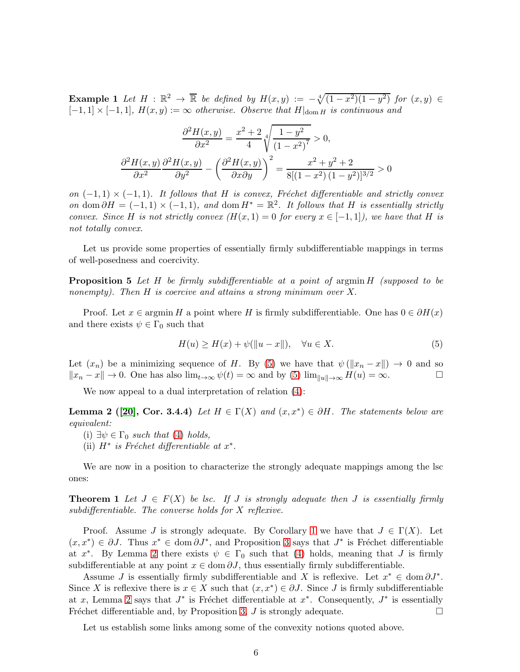**Example 1** Let  $H : \mathbb{R}^2 \to \overline{\mathbb{R}}$  be defined by  $H(x,y) := -\sqrt[4]{(1-x^2)(1-y^2)}$  for  $(x,y) \in$  $[-1,1] \times [-1,1], H(x,y) := \infty$  otherwise. Observe that  $H|_{\text{dom } H}$  is continuous and

$$
\frac{\partial^2 H(x,y)}{\partial x^2} = \frac{x^2 + 2}{4} \sqrt[4]{\frac{1 - y^2}{(1 - x^2)^7}} > 0,
$$

$$
\frac{\partial^2 H(x,y)}{\partial x^2} \frac{\partial^2 H(x,y)}{\partial y^2} - \left(\frac{\partial^2 H(x,y)}{\partial x \partial y}\right)^2 = \frac{x^2 + y^2 + 2}{8[(1 - x^2)(1 - y^2)]^{3/2}} > 0
$$

on  $(-1,1) \times (-1,1)$ . It follows that H is convex, Fréchet differentiable and strictly convex on dom  $\partial H = (-1,1) \times (-1,1)$ , and dom  $H^* = \mathbb{R}^2$ . It follows that H is essentially strictly convex. Since H is not strictly convex  $(H(x, 1) = 0$  for every  $x \in [-1, 1]$ , we have that H is not totally convex.

<span id="page-5-0"></span>Let us provide some properties of essentially firmly subdifferentiable mappings in terms of well-posedness and coercivity.

**Proposition 5** Let H be firmly subdifferentiable at a point of argmin  $H$  (supposed to be nonempty). Then H is coercive and attains a strong minimum over X.

Proof. Let  $x \in \text{argmin } H$  a point where H is firmly subdifferentiable. One has  $0 \in \partial H(x)$ and there exists  $\psi \in \Gamma_0$  such that

<span id="page-5-3"></span>
$$
H(u) \ge H(x) + \psi(\|u - x\|), \quad \forall u \in X.
$$
\n<sup>(5)</sup>

Let  $(x_n)$  be a minimizing sequence of H. By [\(5\)](#page-5-3) we have that  $\psi(\|x_n-x\|) \to 0$  and so  $||x_n - x|| \to 0$ . One has also  $\lim_{t\to\infty} \psi(t) = \infty$  and by [\(5\)](#page-5-3)  $\lim_{||u||\to\infty} H(u) = \infty$ .

<span id="page-5-4"></span>We now appeal to a dual interpretation of relation  $(4)$ :

**Lemma 2** ([\[20\]](#page-11-10), Cor. 3.4.4) Let  $H \in \Gamma(X)$  and  $(x, x^*) \in \partial H$ . The statements below are equivalent:

- (i)  $\exists \psi \in \Gamma_0$  such that [\(4\)](#page-3-1) holds,
- (ii)  $H^*$  is Fréchet differentiable at  $x^*$ .

<span id="page-5-1"></span>We are now in a position to characterize the strongly adequate mappings among the lsc ones:

**Theorem 1** Let  $J \in F(X)$  be lsc. If J is strongly adequate then J is essentially firmly subdifferentiable. The converse holds for X reflexive.

Proof. Assume J is strongly adequate. By Corollary [1](#page-3-2) we have that  $J \in \Gamma(X)$ . Let  $(x, x^*) \in \partial J$ . Thus  $x^* \in \text{dom }\partial J^*$ , and Proposition [3](#page-3-0) says that  $J^*$  is Fréchet differentiable at  $x^*$ . By Lemma [2](#page-5-4) there exists  $\psi \in \Gamma_0$  such that [\(4\)](#page-3-1) holds, meaning that J is firmly subdifferentiable at any point  $x \in \text{dom } \partial J$ , thus essentially firmly subdifferentiable.

Assume *J* is essentially firmly subdifferentiable and X is reflexive. Let  $x^* \in \text{dom } \partial J^*$ . Since X is reflexive there is  $x \in X$  such that  $(x, x^*) \in \partial J$ . Since J is firmly subdifferentiable at x, Lemma [2](#page-5-4) says that  $J^*$  is Fréchet differentiable at  $x^*$ . Consequently,  $J^*$  is essentially Fréchet differentiable and, by Proposition [3,](#page-3-0) J is strongly adequate.

<span id="page-5-2"></span>Let us establish some links among some of the convexity notions quoted above.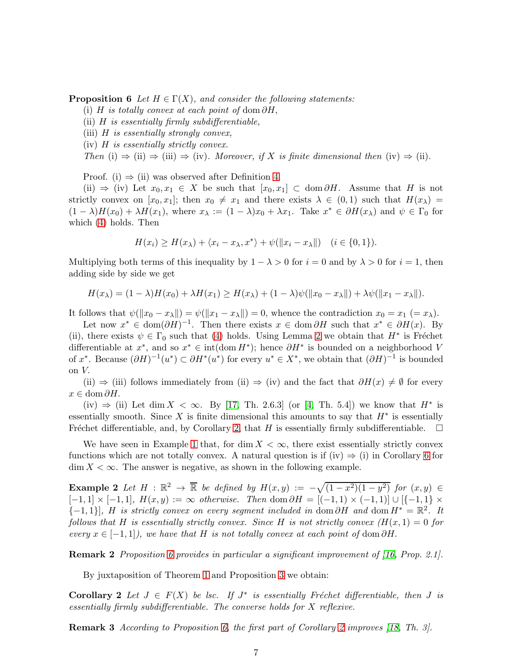**Proposition 6** Let  $H \in \Gamma(X)$ , and consider the following statements:

- (i) H is totally convex at each point of dom  $\partial H$ ,
- (ii)  $H$  is essentially firmly subdifferentiable,
- (iii)  $H$  is essentially strongly convex,
- (iv) H is essentially strictly convex.

Then (i)  $\Rightarrow$  (ii)  $\Rightarrow$  (iii)  $\Rightarrow$  (iv). Moreover, if X is finite dimensional then (iv)  $\Rightarrow$  (ii).

Proof. (i)  $\Rightarrow$  (ii) was observed after Definition [4.](#page-4-0)

(ii)  $\Rightarrow$  (iv) Let  $x_0, x_1 \in X$  be such that  $[x_0, x_1] \subset \text{dom } \partial H$ . Assume that H is not strictly convex on  $[x_0, x_1]$ ; then  $x_0 \neq x_1$  and there exists  $\lambda \in (0, 1)$  such that  $H(x_\lambda) =$  $(1 - \lambda)H(x_0) + \lambda H(x_1)$ , where  $x_\lambda := (1 - \lambda)x_0 + \lambda x_1$ . Take  $x^* \in \partial H(x_\lambda)$  and  $\psi \in \Gamma_0$  for which [\(4\)](#page-3-1) holds. Then

$$
H(x_i) \ge H(x_\lambda) + \langle x_i - x_\lambda, x^* \rangle + \psi(||x_i - x_\lambda||) \quad (i \in \{0, 1\}).
$$

Multiplying both terms of this inequality by  $1 - \lambda > 0$  for  $i = 0$  and by  $\lambda > 0$  for  $i = 1$ , then adding side by side we get

$$
H(x_{\lambda}) = (1 - \lambda)H(x_0) + \lambda H(x_1) \ge H(x_{\lambda}) + (1 - \lambda)\psi(||x_0 - x_{\lambda}||) + \lambda\psi(||x_1 - x_{\lambda}||).
$$

It follows that  $\psi(||x_0 - x_\lambda||) = \psi(||x_1 - x_\lambda||) = 0$ , whence the contradiction  $x_0 = x_1$  (=  $x_\lambda$ ).

Let now  $x^* \in \text{dom}(\partial H)^{-1}$ . Then there exists  $x \in \text{dom} \partial H$  such that  $x^* \in \partial H(x)$ . By (ii), there exists  $\psi \in \Gamma_0$  such that [\(4\)](#page-3-1) holds. Using Lemma [2](#page-5-4) we obtain that  $H^*$  is Fréchet differentiable at  $x^*$ , and so  $x^* \in \text{int}(\text{dom } H^*)$ ; hence  $\partial H^*$  is bounded on a neighborhood V of x<sup>\*</sup>. Because  $(\partial H)^{-1}(u^*) \subset \partial H^*(u^*)$  for every  $u^* \in X^*$ , we obtain that  $(\partial H)^{-1}$  is bounded on V.

(ii)  $\Rightarrow$  (iii) follows immediately from (ii)  $\Rightarrow$  (iv) and the fact that  $\partial H(x) \neq \emptyset$  for every  $x \in \text{dom } \partial H$ .

(iv)  $\Rightarrow$  (ii) Let dim X <  $\infty$ . By [\[17,](#page-11-4) Th. 2.6.3] (or [\[4,](#page-10-0) Th. 5.4]) we know that  $H^*$  is essentially smooth. Since X is finite dimensional this amounts to say that  $H^*$  is essentially Fréchet differentiable, and, by Corollary [2,](#page-6-1) that  $H$  is essentially firmly subdifferentiable.

We have seen in Example [1](#page-4-1) that, for dim  $X < \infty$ , there exist essentially strictly convex functions which are not totally convex. A natural question is if (iv)  $\Rightarrow$  (i) in Corollary [6](#page-5-2) for  $\dim X < \infty$ . The answer is negative, as shown in the following example.

<span id="page-6-0"></span>**Example 2** Let  $H : \mathbb{R}^2 \to \overline{\mathbb{R}}$  be defined by  $H(x,y) := -\sqrt{(1-x^2)(1-y^2)}$  for  $(x,y) \in$  $[-1, 1] \times [-1, 1], H(x, y) := \infty$  otherwise. Then dom  $\partial H = [(-1, 1) \times (-1, 1)] \cup [-1, 1] \times$  ${-1, 1}$ , H is strictly convex on every segment included in dom  $\partial H$  and dom  $H^* = \mathbb{R}^2$ . It follows that H is essentially strictly convex. Since H is not strictly convex  $(H(x, 1) = 0$  for every  $x \in [-1,1]$ , we have that H is not totally convex at each point of dom  $\partial H$ .

Remark 2 Proposition [6](#page-5-2) provides in particular a significant improvement of [\[16,](#page-11-3) Prop. 2.1].

<span id="page-6-1"></span>By juxtaposition of Theorem [1](#page-5-1) and Proposition [3](#page-3-0) we obtain:

Corollary 2 Let  $J \in F(X)$  be lsc. If  $J^*$  is essentially Fréchet differentiable, then J is essentially firmly subdifferentiable. The converse holds for X reflexive.

Remark 3 According to Proposition [6,](#page-5-2) the first part of Corollary [2](#page-6-1) improves [\[18,](#page-11-1) Th. 3].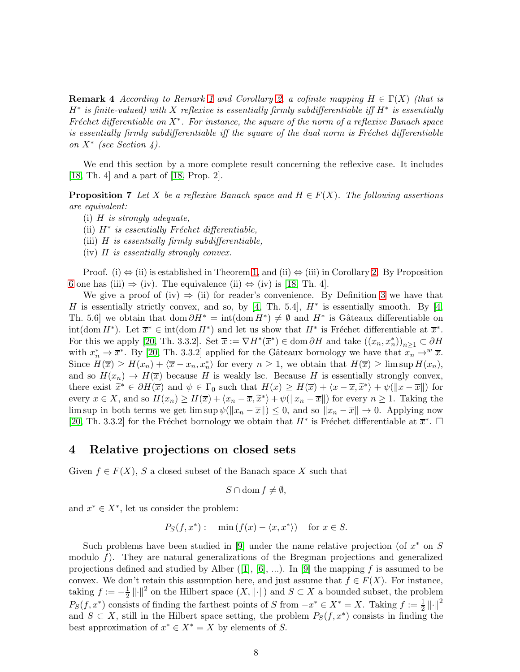**Remark 4** According to Remark [1](#page-3-3) and Corollary [2,](#page-6-1) a cofinite mapping  $H \in \Gamma(X)$  (that is  $H^*$  is finite-valued) with X reflexive is essentially firmly subdifferentiable iff  $H^*$  is essentially Fréchet differentiable on  $X^*$ . For instance, the square of the norm of a reflexive Banach space is essentially firmly subdifferentiable iff the square of the dual norm is Fréchet differentiable on X<sup>∗</sup> (see Section 4).

<span id="page-7-0"></span>We end this section by a more complete result concerning the reflexive case. It includes [\[18,](#page-11-1) Th. 4] and a part of [\[18,](#page-11-1) Prop. 2].

**Proposition 7** Let X be a reflexive Banach space and  $H \in F(X)$ . The following assertions are equivalent:

- (i)  $H$  is strongly adequate,
- (ii)  $H^*$  is essentially Fréchet differentiable,
- (iii)  $H$  is essentially firmly subdifferentiable,
- $(iv)$  H is essentially strongly convex.

Proof. (i)  $\Leftrightarrow$  (ii) is established in Theorem [1,](#page-5-1) and (ii)  $\Leftrightarrow$  (iii) in Corollary [2.](#page-6-1) By Proposition [6](#page-5-2) one has (iii)  $\Rightarrow$  (iv). The equivalence (ii)  $\Leftrightarrow$  (iv) is [\[18,](#page-11-1) Th. 4].

We give a proof of (iv)  $\Rightarrow$  (ii) for reader's convenience. By Definition [3](#page-3-4) we have that H is essentially strictly convex, and so, by [\[4,](#page-10-0) Th. 5.4],  $H^*$  is essentially smooth. By [4, Th. 5.6 we obtain that dom  $\partial H^* = \text{int}(\text{dom } H^*) \neq \emptyset$  and  $H^*$  is Gâteaux differentiable on  $\text{int}(\text{dom } H^*)$ . Let  $\overline{x}^* \in \text{int}(\text{dom } H^*)$  and let us show that  $H^*$  is Fréchet differentiable at  $\overline{x}^*$ . For this we apply [\[20,](#page-11-10) Th. 3.3.2]. Set  $\overline{x} := \nabla H^*(\overline{x}^*) \in \text{dom }\partial H$  and take  $((x_n, x_n^*))_{n \geq 1} \subset \partial H$ with  $x_n^* \to \overline{x}^*$ . By [\[20,](#page-11-10) Th. 3.3.2] applied for the Gâteaux bornology we have that  $x_n \to^w \overline{x}$ . Since  $H(\overline{x}) \ge H(x_n) + \langle \overline{x} - x_n, x_n^* \rangle$  for every  $n \ge 1$ , we obtain that  $H(\overline{x}) \ge \limsup H(x_n)$ , and so  $H(x_n) \to H(\overline{x})$  because H is weakly lsc. Because H is essentially strongly convex, there exist  $\widetilde{x}^* \in \partial H(\overline{x})$  and  $\psi \in \Gamma_0$  such that  $H(x) \ge H(\overline{x}) + \langle x - \overline{x}, \widetilde{x}^* \rangle + \psi(\|x - \overline{x}\|)$  for every  $x \in X$ , and so  $H(x_n) \ge H(\overline{x}) + \langle x_n - \overline{x}, \widetilde{x}^* \rangle + \psi(||x_n - \overline{x}||)$  for every  $n \ge 1$ . Taking the lim sup in both terms we get lim sup  $\psi(\Vert x_n - \overline{x} \Vert) \leq 0$ , and so  $\Vert x_n - \overline{x} \Vert \to 0$ . Applying now [\[20,](#page-11-10) Th. 3.3.2] for the Fréchet bornology we obtain that  $H^*$  is Fréchet differentiable at  $\overline{x}^*$ .  $\Box$ 

#### 4 Relative projections on closed sets

Given  $f \in F(X)$ , S a closed subset of the Banach space X such that

$$
S\cap\mathrm{dom}\, f\neq\emptyset,
$$

and  $x^* \in X^*$ , let us consider the problem:

$$
P_S(f, x^*): \quad \min\left(f(x) - \langle x, x^*\rangle\right) \quad \text{for } x \in S.
$$

<span id="page-7-1"></span>Such problems have been studied in [\[9\]](#page-11-2) under the name relative projection (of  $x^*$  on  $S$ modulo  $f$ ). They are natural generalizations of the Bregman projections and generalized projectionsdefined and studied by Alber  $([1], [6], ...)$  $([1], [6], ...)$  $([1], [6], ...)$  $([1], [6], ...)$  $([1], [6], ...)$ . In [\[9\]](#page-11-2) the mapping f is assumed to be convex. We don't retain this assumption here, and just assume that  $f \in F(X)$ . For instance, taking  $f := -\frac{1}{2}$  $\frac{1}{2} || \cdot ||^2$  on the Hilbert space  $(X, || \cdot ||)$  and  $S \subset X$  a bounded subset, the problem  $P_S(f, x^*)$  consists of finding the farthest points of S from  $-x^* \in X^* = X$ . Taking  $f := \frac{1}{2} ||\cdot||^2$ and  $S \subset X$ , still in the Hilbert space setting, the problem  $P_S(f, x^*)$  consists in finding the best approximation of  $x^* \in X^* = X$  by elements of S.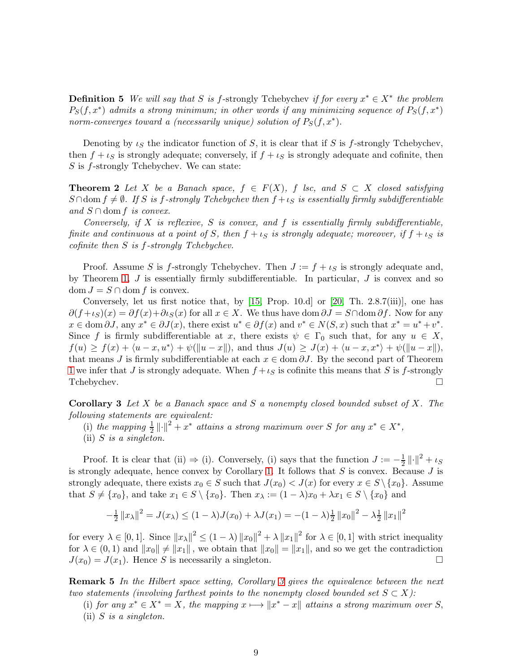**Definition 5** We will say that S is f-strongly Tchebychev if for every  $x^* \in X^*$  the problem  $P_S(f, x^*)$  admits a strong minimum; in other words if any minimizing sequence of  $P_S(f, x^*)$ norm-converges toward a (necessarily unique) solution of  $P_S(f, x^*)$ .

<span id="page-8-0"></span>Denoting by  $\iota_S$  the indicator function of S, it is clear that if S is f-strongly Tchebychev, then  $f + \iota_S$  is strongly adequate; conversely, if  $f + \iota_S$  is strongly adequate and cofinite, then S is f-strongly Tchebychev. We can state:

**Theorem 2** Let X be a Banach space,  $f \in F(X)$ , f lsc, and  $S \subset X$  closed satisfying  $S \cap \text{dom } f \neq \emptyset$ . If S is f-strongly Tchebychev then  $f + \iota_S$  is essentially firmly subdifferentiable and  $S \cap$  dom f is convex.

Conversely, if X is reflexive, S is convex, and f is essentially firmly subdifferentiable, finite and continuous at a point of S, then  $f + \iota_S$  is strongly adequate; moreover, if  $f + \iota_S$  is cofinite then S is f-strongly Tchebychev.

Proof. Assume S is f-strongly Tchebychev. Then  $J := f + \iota_S$  is strongly adequate and, by Theorem [1,](#page-5-1)  $J$  is essentially firmly subdifferentiable. In particular,  $J$  is convex and so dom  $J = S \cap$  dom f is convex.

Conversely, let us first notice that, by [\[15,](#page-11-11) Prop. 10.d] or [\[20,](#page-11-10) Th. 2.8.7(iii)], one has  $\partial (f+_{\mathcal{S}})(x) = \partial f(x)+\partial \iota_{S}(x)$  for all  $x \in X$ . We thus have dom  $\partial J = S \cap \text{dom }\partial f$ . Now for any  $x \in \text{dom } \partial J$ , any  $x^* \in \partial J(x)$ , there exist  $u^* \in \partial f(x)$  and  $v^* \in N(S, x)$  such that  $x^* = u^* + v^*$ . Since f is firmly subdifferentiable at x, there exists  $\psi \in \Gamma_0$  such that, for any  $u \in X$ ,  $f(u) \ge f(x) + \langle u - x, u^* \rangle + \psi(||u - x||)$ , and thus  $J(u) \ge J(x) + \langle u - x, x^* \rangle + \psi(||u - x||)$ , that means J is firmly subdifferentiable at each  $x \in \text{dom } \partial J$ . By the second part of Theorem [1](#page-5-1) we infer that J is strongly adequate. When  $f + \iota_S$  is cofinite this means that S is f-strongly Tchebychev.

<span id="page-8-1"></span>**Corollary 3** Let  $X$  be a Banach space and  $S$  a nonempty closed bounded subset of  $X$ . The following statements are equivalent:

(i) the mapping  $\frac{1}{2} \left\| \cdot \right\|^2 + x^*$  attains a strong maximum over S for any  $x^* \in X^*$ ,

Proof. It is clear that (ii)  $\Rightarrow$  (i). Conversely, (i) says that the function  $J := -\frac{1}{2}$  $\frac{1}{2} \left\| \cdot \right\|^2 + \iota_S$ is strongly adequate, hence convex by Corollary [1.](#page-3-2) It follows that  $S$  is convex. Because  $J$  is strongly adequate, there exists  $x_0 \in S$  such that  $J(x_0) < J(x)$  for every  $x \in S \setminus \{x_0\}$ . Assume that  $S \neq \{x_0\}$ , and take  $x_1 \in S \setminus \{x_0\}$ . Then  $x_\lambda := (1 - \lambda)x_0 + \lambda x_1 \in S \setminus \{x_0\}$  and

$$
-\frac{1}{2}||x_{\lambda}||^{2} = J(x_{\lambda}) \le (1 - \lambda)J(x_{0}) + \lambda J(x_{1}) = -(1 - \lambda)\frac{1}{2}||x_{0}||^{2} - \lambda\frac{1}{2}||x_{1}||^{2}
$$

for every  $\lambda \in [0,1]$ . Since  $||x_{\lambda}||^2 \le (1 - \lambda) ||x_0||^2 + \lambda ||x_1||^2$  for  $\lambda \in [0,1]$  with strict inequality for  $\lambda \in (0,1)$  and  $||x_0|| \neq ||x_1||$ , we obtain that  $||x_0|| = ||x_1||$ , and so we get the contradiction  $J(x_0) = J(x_1)$ . Hence S is necessarily a singleton.

<span id="page-8-2"></span>Remark 5 In the Hilbert space setting, Corollary [3](#page-8-1) gives the equivalence between the next two statements (involving farthest points to the nonempty closed bounded set  $S \subset X$ ):

(i) for any  $x^* \in X^* = X$ , the mapping  $x \mapsto \|x^* - x\|$  attains a strong maximum over S, (ii)  $S$  is a singleton.

<sup>(</sup>ii)  $S$  is a singleton.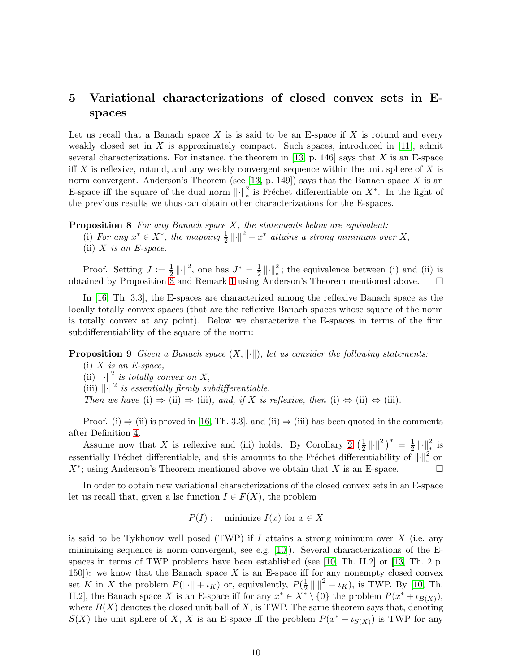## 5 Variational characterizations of closed convex sets in Espaces

Let us recall that a Banach space  $X$  is is said to be an E-space if  $X$  is rotund and every weakly closed set in X is approximately compact. Such spaces, introduced in [\[11\]](#page-11-6), admit several characterizations. For instance, the theorem in [\[13,](#page-11-7) p. 146] says that  $X$  is an E-space iff X is reflexive, rotund, and any weakly convergent sequence within the unit sphere of X is norm convergent. Anderson's Theorem (see [\[13,](#page-11-7) p. 149]) says that the Banach space X is an E-space iff the square of the dual norm  $\|\cdot\|_*^2$  is Fréchet differentiable on  $X^*$ . In the light of the previous results we thus can obtain other characterizations for the E-spaces.

<span id="page-9-0"></span>**Proposition 8** For any Banach space  $X$ , the statements below are equivalent:

(ii)  $X$  is an E-space.

Proof. Setting  $J := \frac{1}{2} ||\cdot||^2$ , one has  $J^* = \frac{1}{2}$  $\frac{1}{2} \left\| \cdot \right\|_{*}^{2}$ ; the equivalence between (i) and (ii) is obtained by Proposition [3](#page-3-0) and Remark [1](#page-3-3) using Anderson's Theorem mentioned above.  $\Box$ 

In [\[16,](#page-11-3) Th. 3.3], the E-spaces are characterized among the reflexive Banach space as the locally totally convex spaces (that are the reflexive Banach spaces whose square of the norm is totally convex at any point). Below we characterize the E-spaces in terms of the firm subdifferentiability of the square of the norm:

## <span id="page-9-1"></span>**Proposition 9** Given a Banach space  $(X, \|\cdot\|)$ , let us consider the following statements:

- $(i)$  X is an E-space,
- (ii)  $\lVert \cdot \rVert^2$  is totally convex on X,
- (iii)  $\left\Vert \cdot\right\Vert ^{2}$  is essentially firmly subdifferentiable.
- Then we have (i)  $\Rightarrow$  (ii)  $\Rightarrow$  (iii), and, if X is reflexive, then (i)  $\Leftrightarrow$  (ii)  $\Leftrightarrow$  (iii).

Proof. (i)  $\Rightarrow$  (ii) is proved in [\[16,](#page-11-3) Th. 3.3], and (ii)  $\Rightarrow$  (iii) has been quoted in the comments after Definition [4.](#page-4-0)

Assume now that X is reflexive and (iii) holds. By Corollary [2](#page-6-1)  $\left(\frac{1}{2}\right)$  $\frac{1}{2} \left\| \cdot \right\|^2 \big)^* = \frac{1}{2}$  $\frac{1}{2}$   $\|\cdot\|_*^2$  is essentially Fréchet differentiable, and this amounts to the Fréchet differentiability of  $\left\|\cdot\right\|_*^2$  on  $X^*$ ; using Anderson's Theorem mentioned above we obtain that X is an E-space.

In order to obtain new variational characterizations of the closed convex sets in an E-space let us recall that, given a lsc function  $I \in F(X)$ , the problem

 $P(I)$ : minimize  $I(x)$  for  $x \in X$ 

is said to be Tykhonov well posed (TWP) if  $I$  attains a strong minimum over  $X$  (i.e. any minimizing sequence is norm-convergent, see e.g. [\[10\]](#page-11-5)). Several characterizations of the E-spaces in terms of TWP problems have been established (see [\[10,](#page-11-5) Th. II.2] or [\[13,](#page-11-7) Th. 2 p. 150): we know that the Banach space  $X$  is an E-space iff for any nonempty closed convex set K in X the problem  $P(\|\cdot\| + \iota_K)$  or, equivalently,  $P(\frac{1}{2})$  $\frac{1}{2} ||\cdot||^2 + \iota_K$ , is TWP. By [\[10,](#page-11-5) Th. II.2, the Banach space X is an E-space iff for any  $x^* \in X^* \setminus \{0\}$  the problem  $P(x^* + \iota_{B(X)})$ , where  $B(X)$  denotes the closed unit ball of X, is TWP. The same theorem says that, denoting  $S(X)$  the unit sphere of X, X is an E-space iff the problem  $P(x^* + \iota_{S(X)})$  is TWP for any

<sup>(</sup>i) For any  $x^* \in X^*$ , the mapping  $\frac{1}{2} ||\cdot||^2 - x^*$  attains a strong minimum over X,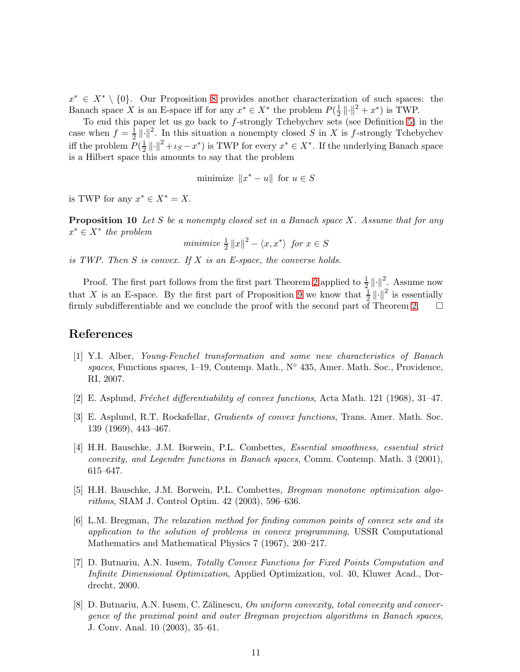$x^* \in X^* \setminus \{0\}$ . Our Proposition [8](#page-9-0) provides another characterization of such spaces: the Banach space X is an E-space iff for any  $x^* \in X^*$  the problem  $P(\frac{1}{2})$  $\frac{1}{2} \left\| \cdot \right\|^2 + x^*$ ) is TWP.

To end this paper let us go back to  $f$ -strongly Tchebychev sets (see Definition [5\)](#page-7-1) in the case when  $f = \frac{1}{2}$  $\frac{1}{2} || \cdot ||^2$ . In this situation a nonempty closed S in X is f-strongly Tchebychev iff the problem  $P(\frac{1}{2})$  $\frac{1}{2} || \cdot ||^2 + \iota_S - x^*$ ) is TWP for every  $x^* \in X^*$ . If the underlying Banach space is a Hilbert space this amounts to say that the problem

minimize  $||x^* - u||$  for  $u \in S$ 

<span id="page-10-6"></span>is TWP for any  $x^* \in X^* = X$ .

**Proposition 10** Let S be a nonempty closed set in a Banach space X. Assume that for any  $x^* \in X^*$  the problem

minimize  $\frac{1}{2} ||x||^2 - \langle x, x^* \rangle$  for  $x \in S$ 

is TWP. Then  $S$  is convex. If  $X$  is an E-space, the converse holds.

Proof. The first part follows from the first part Theorem [2](#page-8-0) applied to  $\frac{1}{2} || \cdot ||^2$ . Assume now that X is an E-space. By the first part of Proposition [9](#page-9-1) we know that  $\frac{1}{2} ||\cdot||^2$  is essentially firmly subdifferentiable and we conclude the proof with the second part of Theorem [2.](#page-8-0)  $\Box$ 

## <span id="page-10-3"></span>References

- [1] Y.I. Alber, Young-Fenchel transformation and some new characteristics of Banach spaces, Functions spaces,  $1-19$ , Contemp. Math., N $\circ$  435, Amer. Math. Soc., Providence, RI, 2007.
- <span id="page-10-8"></span><span id="page-10-7"></span>[2] E. Asplund, Fréchet differentiability of convex functions, Acta Math. 121 (1968), 31–47.
- [3] E. Asplund, R.T. Rockafellar, Gradients of convex functions, Trans. Amer. Math. Soc. 139 (1969), 443–467.
- <span id="page-10-0"></span>[4] H.H. Bauschke, J.M. Borwein, P.L. Combettes, Essential smoothness, essential strict convexity, and Legendre functions in Banach spaces, Comm. Contemp. Math. 3 (2001), 615–647.
- <span id="page-10-5"></span>[5] H.H. Bauschke, J.M. Borwein, P.L. Combettes, Bregman monotone optimization algorithms, SIAM J. Control Optim. 42 (2003), 596–636.
- <span id="page-10-4"></span>[6] L.M. Bregman, The relaxation method for finding common points of convex sets and its application to the solution of problems in convex programming, USSR Computational Mathematics and Mathematical Physics 7 (1967), 200–217.
- <span id="page-10-1"></span>[7] D. Butnariu, A.N. Iusem, Totally Convex Functions for Fixed Points Computation and Infinite Dimensional Optimization, Applied Optimization, vol. 40, Kluwer Acad., Dordrecht, 2000.
- <span id="page-10-2"></span>[8] D. Butnariu, A.N. Iusem, C. Zălinescu, On uniform convexity, total convexity and convergence of the proximal point and outer Bregman projection algorithms in Banach spaces, J. Conv. Anal. 10 (2003), 35–61.